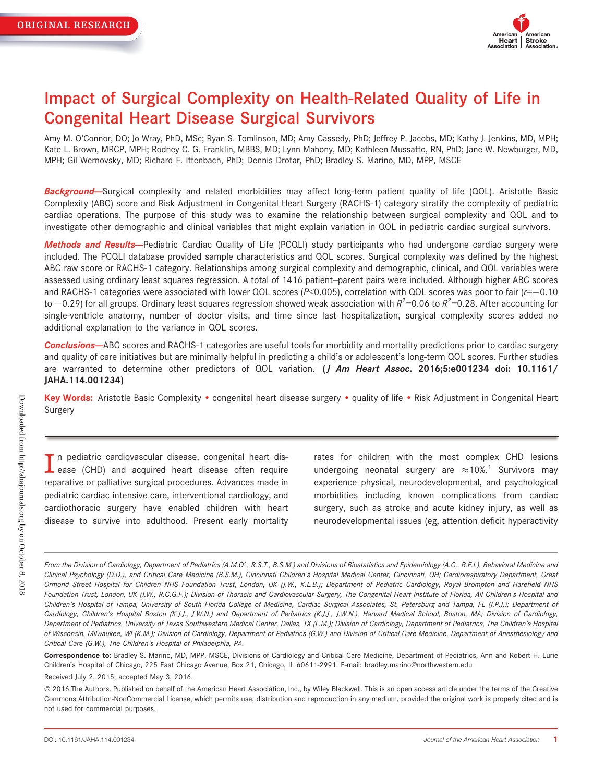

# Impact of Surgical Complexity on Health-Related Quality of Life in Congenital Heart Disease Surgical Survivors

Amy M. O'Connor, DO; Jo Wray, PhD, MSc; Ryan S. Tomlinson, MD; Amy Cassedy, PhD; Jeffrey P. Jacobs, MD; Kathy J. Jenkins, MD, MPH; Kate L. Brown, MRCP, MPH; Rodney C. G. Franklin, MBBS, MD; Lynn Mahony, MD; Kathleen Mussatto, RN, PhD; Jane W. Newburger, MD, MPH; Gil Wernovsky, MD; Richard F. Ittenbach, PhD; Dennis Drotar, PhD; Bradley S. Marino, MD, MPP, MSCE

Background-Surgical complexity and related morbidities may affect long-term patient quality of life (QOL). Aristotle Basic Complexity (ABC) score and Risk Adjustment in Congenital Heart Surgery (RACHS-1) category stratify the complexity of pediatric cardiac operations. The purpose of this study was to examine the relationship between surgical complexity and QOL and to investigate other demographic and clinical variables that might explain variation in QOL in pediatric cardiac surgical survivors.

Methods and Results--Pediatric Cardiac Quality of Life (PCQLI) study participants who had undergone cardiac surgery were included. The PCQLI database provided sample characteristics and QOL scores. Surgical complexity was defined by the highest ABC raw score or RACHS-1 category. Relationships among surgical complexity and demographic, clinical, and QOL variables were assessed using ordinary least squares regression. A total of 1416 patient–parent pairs were included. Although higher ABC scores and RACHS-1 categories were associated with lower QOL scores ( $P<0.005$ ), correlation with QOL scores was poor to fair ( $r=-0.10$ ) to  $-0.29$ ) for all groups. Ordinary least squares regression showed weak association with  $R^2$ =0.06 to  $R^2$ =0.28. After accounting for single-ventricle anatomy, number of doctor visits, and time since last hospitalization, surgical complexity scores added no additional explanation to the variance in QOL scores.

Conclusions-ABC scores and RACHS-1 categories are useful tools for morbidity and mortality predictions prior to cardiac surgery and quality of care initiatives but are minimally helpful in predicting a child's or adolescent's long-term QOL scores. Further studies are warranted to determine other predictors of QOL variation. (*J Am Heart Assoc.* 2016;5:e001234 doi: [10.1161/](info:doi/10.1161/JAHA.114.001234) [JAHA.114.001234](info:doi/10.1161/JAHA.114.001234))

Key Words: Aristotle Basic Complexity • congenital heart disease surgery • quality of life • Risk Adjustment in Congenital Heart Surgery

In pediatric cardiovascular disease, congenital heart disease (CHD) and acquired heart disease often require reparative or palliative surgical procedures. Advances made in pediatric cardiac intensive care, interventional cardiology, and cardiothoracic surgery have enabled children with heart disease to survive into adulthood. Present early mortality

rates for children with the most complex CHD lesions undergoing neonatal surgery are  $\approx 10\%$ <sup>1</sup> Survivors may experience physical, neurodevelopmental, and psychological morbidities including known complications from cardiac surgery, such as stroke and acute kidney injury, as well as neurodevelopmental issues (eg, attention deficit hyperactivity

From the Division of Cardiology, Department of Pediatrics (A.M.O'., R.S.T., B.S.M.) and Divisions of Biostatistics and Epidemiology (A.C., R.F.I.), Behavioral Medicine and Clinical Psychology (D.D.), and Critical Care Medicine (B.S.M.), Cincinnati Children's Hospital Medical Center, Cincinnati, OH; Cardiorespiratory Department, Great Ormond Street Hospital for Children NHS Foundation Trust, London, UK (J.W., K.L.B.); Department of Pediatric Cardiology, Royal Brompton and Harefield NHS Foundation Trust, London, UK (J.W., R.C.G.F.); Division of Thoracic and Cardiovascular Surgery, The Congenital Heart Institute of Florida, All Children's Hospital and Children's Hospital of Tampa, University of South Florida College of Medicine, Cardiac Surgical Associates, St. Petersburg and Tampa, FL (J.P.J.); Department of Cardiology, Children's Hospital Boston (K.J.J., J.W.N.) and Department of Pediatrics (K.J.J., J.W.N.), Harvard Medical School, Boston, MA; Division of Cardiology, Department of Pediatrics, University of Texas Southwestern Medical Center, Dallas, TX (L.M.); Division of Cardiology, Department of Pediatrics, The Children's Hospital of Wisconsin, Milwaukee, WI (K.M.); Division of Cardiology, Department of Pediatrics (G.W.) and Division of Critical Care Medicine, Department of Anesthesiology and Critical Care (G.W.), The Children's Hospital of Philadelphia, PA.

Correspondence to: Bradley S. Marino, MD, MPP, MSCE, Divisions of Cardiology and Critical Care Medicine, Department of Pediatrics, Ann and Robert H. Lurie Children's Hospital of Chicago, 225 East Chicago Avenue, Box 21, Chicago, IL 60611-2991. E-mail: bradley.marino@northwestern.edu

Received July 2, 2015; accepted May 3, 2016.

ª 2016 The Authors. Published on behalf of the American Heart Association, Inc., by Wiley Blackwell. This is an open access article under the terms of the [Creative](http://creativecommons.org/licenses/by-nc/4.0/) [Commons Attribution-NonCommercial](http://creativecommons.org/licenses/by-nc/4.0/) License, which permits use, distribution and reproduction in any medium, provided the original work is properly cited and is not used for commercial purposes.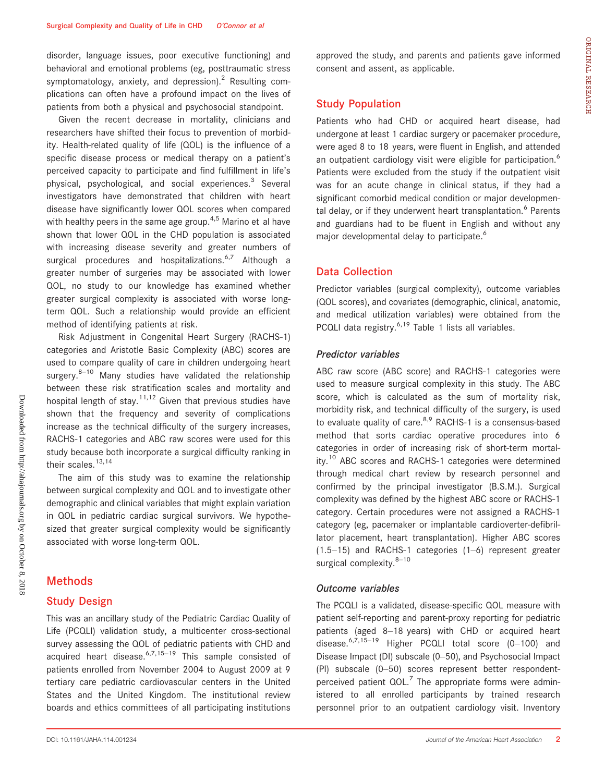disorder, language issues, poor executive functioning) and behavioral and emotional problems (eg, posttraumatic stress symptomatology, anxiety, and depression).<sup>2</sup> Resulting complications can often have a profound impact on the lives of patients from both a physical and psychosocial standpoint.

Given the recent decrease in mortality, clinicians and researchers have shifted their focus to prevention of morbidity. Health-related quality of life (QOL) is the influence of a specific disease process or medical therapy on a patient's perceived capacity to participate and find fulfillment in life's physical, psychological, and social experiences.<sup>3</sup> Several investigators have demonstrated that children with heart disease have significantly lower QOL scores when compared with healthy peers in the same age group.<sup>4,5</sup> Marino et al have shown that lower QOL in the CHD population is associated with increasing disease severity and greater numbers of surgical procedures and hospitalizations.<sup>6,7</sup> Although a greater number of surgeries may be associated with lower QOL, no study to our knowledge has examined whether greater surgical complexity is associated with worse longterm QOL. Such a relationship would provide an efficient method of identifying patients at risk.

Risk Adjustment in Congenital Heart Surgery (RACHS-1) categories and Aristotle Basic Complexity (ABC) scores are used to compare quality of care in children undergoing heart surgery. $8-10$  Many studies have validated the relationship between these risk stratification scales and mortality and hospital length of stay.<sup>11,12</sup> Given that previous studies have shown that the frequency and severity of complications increase as the technical difficulty of the surgery increases, RACHS-1 categories and ABC raw scores were used for this study because both incorporate a surgical difficulty ranking in their scales.<sup>13,14</sup>

The aim of this study was to examine the relationship between surgical complexity and QOL and to investigate other demographic and clinical variables that might explain variation in QOL in pediatric cardiac surgical survivors. We hypothesized that greater surgical complexity would be significantly associated with worse long-term QOL.

# Methods

#### Study Design

This was an ancillary study of the Pediatric Cardiac Quality of Life (PCQLI) validation study, a multicenter cross-sectional survey assessing the QOL of pediatric patients with CHD and acquired heart disease. $6,7,15-19$  This sample consisted of patients enrolled from November 2004 to August 2009 at 9 tertiary care pediatric cardiovascular centers in the United States and the United Kingdom. The institutional review boards and ethics committees of all participating institutions

approved the study, and parents and patients gave informed consent and assent, as applicable.

### Study Population

Patients who had CHD or acquired heart disease, had undergone at least 1 cardiac surgery or pacemaker procedure, were aged 8 to 18 years, were fluent in English, and attended an outpatient cardiology visit were eligible for participation. $<sup>6</sup>$ </sup> Patients were excluded from the study if the outpatient visit was for an acute change in clinical status, if they had a significant comorbid medical condition or major developmental delay, or if they underwent heart transplantation.<sup>6</sup> Parents and guardians had to be fluent in English and without any major developmental delay to participate.<sup>6</sup>

## Data Collection

Predictor variables (surgical complexity), outcome variables (QOL scores), and covariates (demographic, clinical, anatomic, and medical utilization variables) were obtained from the PCQLI data registry.<sup>6,19</sup> Table 1 lists all variables.

### Predictor variables

ABC raw score (ABC score) and RACHS-1 categories were used to measure surgical complexity in this study. The ABC score, which is calculated as the sum of mortality risk, morbidity risk, and technical difficulty of the surgery, is used to evaluate quality of care. $8.9$  RACHS-1 is a consensus-based method that sorts cardiac operative procedures into 6 categories in order of increasing risk of short-term mortality.<sup>10</sup> ABC scores and RACHS-1 categories were determined through medical chart review by research personnel and confirmed by the principal investigator (B.S.M.). Surgical complexity was defined by the highest ABC score or RACHS-1 category. Certain procedures were not assigned a RACHS-1 category (eg, pacemaker or implantable cardioverter-defibrillator placement, heart transplantation). Higher ABC scores (1.5–15) and RACHS-1 categories (1–6) represent greater surgical complexity. $8-10$ 

#### Outcome variables

The PCQLI is a validated, disease-specific QOL measure with patient self-reporting and parent-proxy reporting for pediatric patients (aged 8–18 years) with CHD or acquired heart disease. $6,7,15-19$  Higher PCQLI total score  $(0-100)$  and Disease Impact (DI) subscale (0–50), and Psychosocial Impact (PI) subscale (0–50) scores represent better respondentperceived patient  $QOL<sup>7</sup>$  The appropriate forms were administered to all enrolled participants by trained research personnel prior to an outpatient cardiology visit. Inventory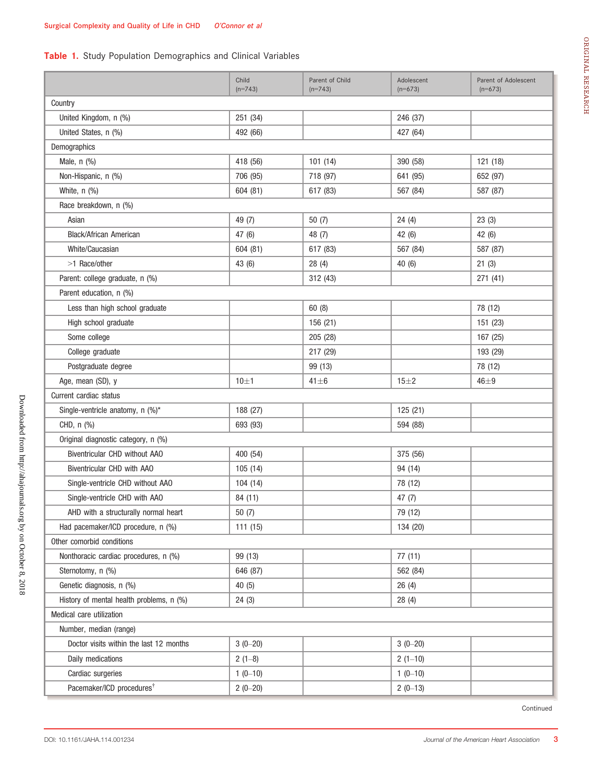# Table 1. Study Population Demographics and Clinical Variables

|                                          | Child<br>$(n=743)$ | Parent of Child<br>$(n=743)$ | Adolescent<br>$(n=673)$ | Parent of Adolescent<br>$(n=673)$ |
|------------------------------------------|--------------------|------------------------------|-------------------------|-----------------------------------|
| Country                                  |                    |                              |                         |                                   |
| United Kingdom, n (%)                    | 251 (34)           |                              | 246 (37)                |                                   |
| United States, n (%)                     | 492 (66)           |                              | 427 (64)                |                                   |
| Demographics                             |                    |                              |                         |                                   |
| Male, n (%)                              | 418 (56)           | 101(14)                      | 390 (58)                | 121 (18)                          |
| Non-Hispanic, n (%)                      | 706 (95)           | 718 (97)                     | 641 (95)                | 652 (97)                          |
| White, $n$ $(\%)$                        | 604 (81)           | 617 (83)                     | 567 (84)                | 587 (87)                          |
| Race breakdown, n (%)                    |                    |                              |                         |                                   |
| Asian                                    | 49 (7)             | 50(7)                        | 24(4)                   | 23(3)                             |
| <b>Black/African American</b>            | 47 (6)             | 48 (7)                       | 42 (6)                  | 42 (6)                            |
| White/Caucasian                          | 604 (81)           | 617 (83)                     | 567 (84)                | 587 (87)                          |
| >1 Race/other                            | 43 (6)             | 28(4)                        | 40 (6)                  | 21(3)                             |
| Parent: college graduate, n (%)          |                    | 312 (43)                     |                         | 271 (41)                          |
| Parent education, n (%)                  |                    |                              |                         |                                   |
| Less than high school graduate           |                    | 60(8)                        |                         | 78 (12)                           |
| High school graduate                     |                    | 156 (21)                     |                         | 151 (23)                          |
| Some college                             |                    | 205 (28)                     |                         | 167 (25)                          |
| College graduate                         |                    | 217 (29)                     |                         | 193 (29)                          |
| Postgraduate degree                      |                    | 99 (13)                      |                         | 78 (12)                           |
| Age, mean (SD), y                        | 10±1               | $41 \pm 6$                   | $15\pm2$                | $46 + 9$                          |
| Current cardiac status                   |                    |                              |                         |                                   |
| Single-ventricle anatomy, n (%)*         | 188 (27)           |                              | 125 (21)                |                                   |
| CHD, n (%)                               | 693 (93)           |                              | 594 (88)                |                                   |
| Original diagnostic category, n (%)      |                    |                              |                         |                                   |
| Biventricular CHD without AAO            | 400 (54)           |                              | 375 (56)                |                                   |
| Biventricular CHD with AAO               | 105(14)            |                              | 94 (14)                 |                                   |
| Single-ventricle CHD without AAO         | 104 (14)           |                              | 78 (12)                 |                                   |
| Single-ventricle CHD with AAO            | 84 (11)            |                              | 47 $(7)$                |                                   |
| AHD with a structurally normal heart     | 50 (7)             |                              | 79 (12)                 |                                   |
| Had pacemaker/ICD procedure, n (%)       | 111(15)            |                              | 134 (20)                |                                   |
| Other comorbid conditions                |                    |                              |                         |                                   |
| Nonthoracic cardiac procedures, n (%)    | 99 (13)            |                              | 77(11)                  |                                   |
| Sternotomy, n (%)                        | 646 (87)           |                              | 562 (84)                |                                   |
| Genetic diagnosis, n (%)                 | 40(5)              |                              | 26(4)                   |                                   |
| History of mental health problems, n (%) | 24(3)              |                              | 28(4)                   |                                   |
| Medical care utilization                 |                    |                              |                         |                                   |
| Number, median (range)                   |                    |                              |                         |                                   |
| Doctor visits within the last 12 months  | $3(0-20)$          |                              | $3(0-20)$               |                                   |
| Daily medications                        | $2(1-8)$           |                              | $2(1-10)$               |                                   |
| Cardiac surgeries                        | $1(0-10)$          |                              | $1(0-10)$               |                                   |
| Pacemaker/ICD procedures <sup>†</sup>    | $2(0-20)$          |                              | $2(0-13)$               |                                   |

Continued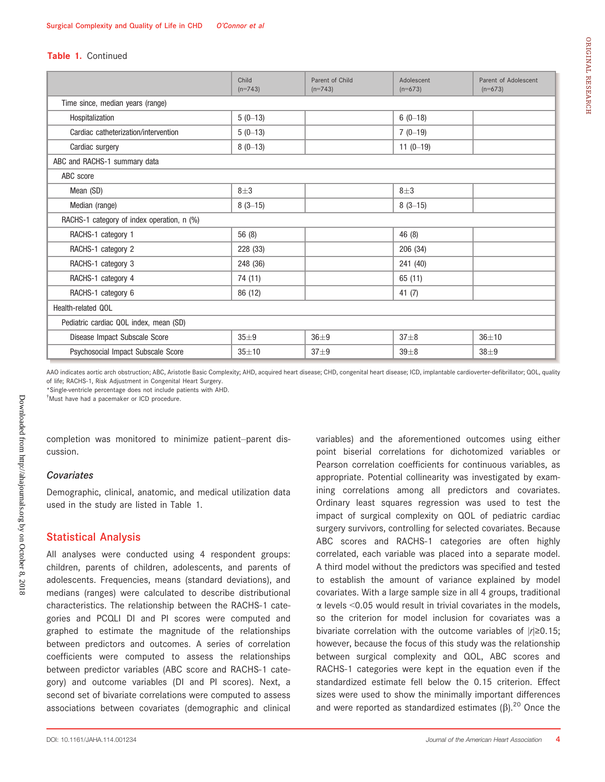#### Table 1. Continued

|                                            | Child<br>$(n=743)$ | Parent of Child<br>$(n=743)$ | Adolescent<br>$(n=673)$ | Parent of Adolescent<br>$(n=673)$ |  |  |  |  |  |  |
|--------------------------------------------|--------------------|------------------------------|-------------------------|-----------------------------------|--|--|--|--|--|--|
| Time since, median years (range)           |                    |                              |                         |                                   |  |  |  |  |  |  |
| Hospitalization                            | $5(0-13)$          |                              | $6(0-18)$               |                                   |  |  |  |  |  |  |
| Cardiac catheterization/intervention       | $5(0-13)$          |                              | $7(0-19)$               |                                   |  |  |  |  |  |  |
| Cardiac surgery                            | $8(0-13)$          |                              | $11(0-19)$              |                                   |  |  |  |  |  |  |
| ABC and RACHS-1 summary data               |                    |                              |                         |                                   |  |  |  |  |  |  |
| ABC score                                  |                    |                              |                         |                                   |  |  |  |  |  |  |
| Mean (SD)                                  | $8 + 3$            |                              | $8\pm3$                 |                                   |  |  |  |  |  |  |
| Median (range)                             | $8(3-15)$          |                              | $8(3-15)$               |                                   |  |  |  |  |  |  |
| RACHS-1 category of index operation, n (%) |                    |                              |                         |                                   |  |  |  |  |  |  |
| RACHS-1 category 1                         | 56 (8)             |                              | 46 (8)                  |                                   |  |  |  |  |  |  |
| RACHS-1 category 2                         | 228 (33)           |                              | 206 (34)                |                                   |  |  |  |  |  |  |
| RACHS-1 category 3                         | 248 (36)           |                              | 241 (40)                |                                   |  |  |  |  |  |  |
| RACHS-1 category 4                         | 74 (11)            |                              | 65 (11)                 |                                   |  |  |  |  |  |  |
| RACHS-1 category 6                         | 86 (12)            |                              | 41 $(7)$                |                                   |  |  |  |  |  |  |
| Health-related QOL                         |                    |                              |                         |                                   |  |  |  |  |  |  |
| Pediatric cardiac QOL index, mean (SD)     |                    |                              |                         |                                   |  |  |  |  |  |  |
| Disease Impact Subscale Score              | $35 + 9$           | $36\pm9$                     | $37 + 8$                | $36 + 10$                         |  |  |  |  |  |  |
| Psychosocial Impact Subscale Score         | $35 + 10$          | $37 + 9$                     | $39\pm8$                | $38 + 9$                          |  |  |  |  |  |  |

AAO indicates aortic arch obstruction; ABC, Aristotle Basic Complexity; AHD, acquired heart disease; CHD, congenital heart disease; ICD, implantable cardioverter-defibrillator; QOL, quality of life; RACHS-1, Risk Adjustment in Congenital Heart Surgery.

\*Single-ventricle percentage does not include patients with AHD.

† Must have had a pacemaker or ICD procedure.

completion was monitored to minimize patient–parent discussion.

#### **Covariates**

Demographic, clinical, anatomic, and medical utilization data used in the study are listed in Table 1.

## Statistical Analysis

All analyses were conducted using 4 respondent groups: children, parents of children, adolescents, and parents of adolescents. Frequencies, means (standard deviations), and medians (ranges) were calculated to describe distributional characteristics. The relationship between the RACHS-1 categories and PCQLI DI and PI scores were computed and graphed to estimate the magnitude of the relationships between predictors and outcomes. A series of correlation coefficients were computed to assess the relationships between predictor variables (ABC score and RACHS-1 category) and outcome variables (DI and PI scores). Next, a second set of bivariate correlations were computed to assess associations between covariates (demographic and clinical

variables) and the aforementioned outcomes using either point biserial correlations for dichotomized variables or Pearson correlation coefficients for continuous variables, as appropriate. Potential collinearity was investigated by examining correlations among all predictors and covariates. Ordinary least squares regression was used to test the impact of surgical complexity on QOL of pediatric cardiac surgery survivors, controlling for selected covariates. Because ABC scores and RACHS-1 categories are often highly correlated, each variable was placed into a separate model. A third model without the predictors was specified and tested to establish the amount of variance explained by model covariates. With a large sample size in all 4 groups, traditional  $\alpha$  levels <0.05 would result in trivial covariates in the models, so the criterion for model inclusion for covariates was a bivariate correlation with the outcome variables of  $|r| \ge 0.15$ ; however, because the focus of this study was the relationship between surgical complexity and QOL, ABC scores and RACHS-1 categories were kept in the equation even if the standardized estimate fell below the 0.15 criterion. Effect sizes were used to show the minimally important differences and were reported as standardized estimates  $(\beta)$ .<sup>20</sup> Once the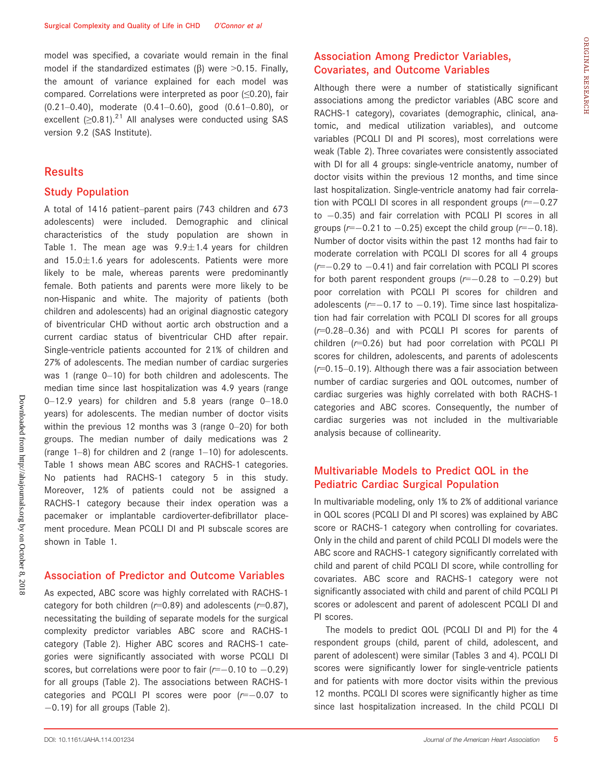model was specified, a covariate would remain in the final model if the standardized estimates ( $\beta$ ) were >0.15. Finally, the amount of variance explained for each model was compared. Correlations were interpreted as poor (≤0.20), fair (0.21–0.40), moderate (0.41–0.60), good (0.61–0.80), or excellent  $(≥0.81).^{21}$  All analyses were conducted using SAS version 9.2 (SAS Institute).

### **Results**

## Study Population

A total of 1416 patient–parent pairs (743 children and 673 adolescents) were included. Demographic and clinical characteristics of the study population are shown in Table 1. The mean age was  $9.9 \pm 1.4$  years for children and  $15.0\pm1.6$  years for adolescents. Patients were more likely to be male, whereas parents were predominantly female. Both patients and parents were more likely to be non-Hispanic and white. The majority of patients (both children and adolescents) had an original diagnostic category of biventricular CHD without aortic arch obstruction and a current cardiac status of biventricular CHD after repair. Single-ventricle patients accounted for 21% of children and 27% of adolescents. The median number of cardiac surgeries was 1 (range 0–10) for both children and adolescents. The median time since last hospitalization was 4.9 years (range 0–12.9 years) for children and 5.8 years (range 0–18.0 years) for adolescents. The median number of doctor visits within the previous 12 months was 3 (range 0–20) for both groups. The median number of daily medications was 2 (range 1–8) for children and 2 (range 1–10) for adolescents. Table 1 shows mean ABC scores and RACHS-1 categories. No patients had RACHS-1 category 5 in this study. Moreover, 12% of patients could not be assigned a RACHS-1 category because their index operation was a pacemaker or implantable cardioverter-defibrillator placement procedure. Mean PCQLI DI and PI subscale scores are shown in Table 1.

### Association of Predictor and Outcome Variables

As expected, ABC score was highly correlated with RACHS-1 category for both children ( $r=0.89$ ) and adolescents ( $r=0.87$ ), necessitating the building of separate models for the surgical complexity predictor variables ABC score and RACHS-1 category (Table 2). Higher ABC scores and RACHS-1 categories were significantly associated with worse PCQLI DI scores, but correlations were poor to fair  $(r=-0.10 \text{ to } -0.29)$ for all groups (Table 2). The associations between RACHS-1 categories and PCQLI PI scores were poor  $(r=-0.07)$  to  $-0.19$ ) for all groups (Table 2).

# Association Among Predictor Variables, Covariates, and Outcome Variables

Although there were a number of statistically significant associations among the predictor variables (ABC score and RACHS-1 category), covariates (demographic, clinical, anatomic, and medical utilization variables), and outcome variables (PCQLI DI and PI scores), most correlations were weak (Table 2). Three covariates were consistently associated with DI for all 4 groups: single-ventricle anatomy, number of doctor visits within the previous 12 months, and time since last hospitalization. Single-ventricle anatomy had fair correlation with PCQLI DI scores in all respondent groups  $(r=-0.27)$ to  $-0.35$ ) and fair correlation with PCQLI PI scores in all groups ( $r=-0.21$  to  $-0.25$ ) except the child group ( $r=-0.18$ ). Number of doctor visits within the past 12 months had fair to moderate correlation with PCQLI DI scores for all 4 groups  $(r=-0.29$  to  $-0.41$ ) and fair correlation with PCQLI PI scores for both parent respondent groups  $(r=-0.28$  to  $-0.29)$  but poor correlation with PCQLI PI scores for children and adolescents ( $r=-0.17$  to  $-0.19$ ). Time since last hospitalization had fair correlation with PCQLI DI scores for all groups (r=0.28–0.36) and with PCQLI PI scores for parents of children  $(r=0.26)$  but had poor correlation with PCQLI PI scores for children, adolescents, and parents of adolescents  $(r=0.15-0.19)$ . Although there was a fair association between number of cardiac surgeries and QOL outcomes, number of cardiac surgeries was highly correlated with both RACHS-1 categories and ABC scores. Consequently, the number of cardiac surgeries was not included in the multivariable analysis because of collinearity.

# Multivariable Models to Predict QOL in the Pediatric Cardiac Surgical Population

In multivariable modeling, only 1% to 2% of additional variance in QOL scores (PCQLI DI and PI scores) was explained by ABC score or RACHS-1 category when controlling for covariates. Only in the child and parent of child PCQLI DI models were the ABC score and RACHS-1 category significantly correlated with child and parent of child PCQLI DI score, while controlling for covariates. ABC score and RACHS-1 category were not significantly associated with child and parent of child PCQLI PI scores or adolescent and parent of adolescent PCQLI DI and PI scores.

The models to predict QOL (PCQLI DI and PI) for the 4 respondent groups (child, parent of child, adolescent, and parent of adolescent) were similar (Tables 3 and 4). PCQLI DI scores were significantly lower for single-ventricle patients and for patients with more doctor visits within the previous 12 months. PCQLI DI scores were significantly higher as time since last hospitalization increased. In the child PCQLI DI ORIGINAL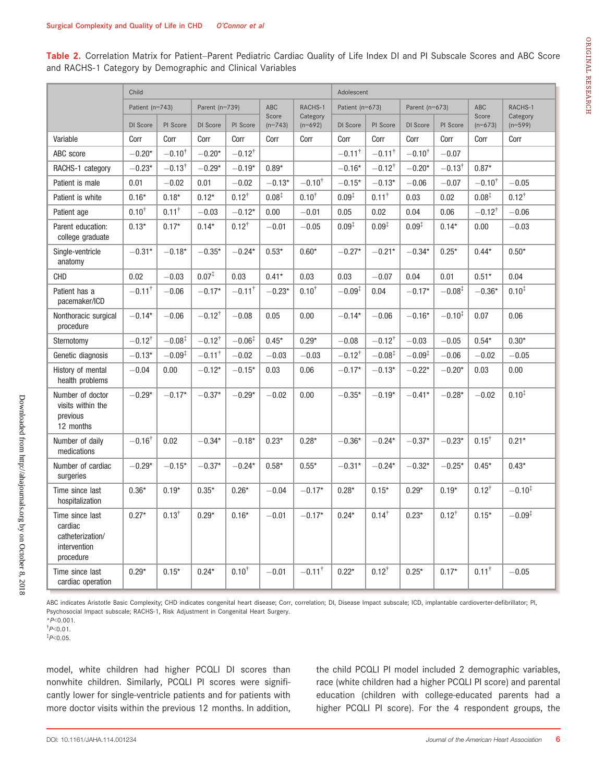Table 2. Correlation Matrix for Patient–Parent Pediatric Cardiac Quality of Life Index DI and PI Subscale Scores and ABC Score and RACHS-1 Category by Demographic and Clinical Variables

|                                                                             | Child                |                    |                      |                      |                    |                       | Adolescent           |                   |                    |                    |                      |                       |  |  |
|-----------------------------------------------------------------------------|----------------------|--------------------|----------------------|----------------------|--------------------|-----------------------|----------------------|-------------------|--------------------|--------------------|----------------------|-----------------------|--|--|
|                                                                             | Patient (n=743)      |                    | Parent (n=739)       |                      | ABC                | RACHS-1               | Patient (n=673)      |                   | Parent ( $n=673$ ) |                    | ABC                  | RACHS-1               |  |  |
|                                                                             | DI Score             | PI Score           | DI Score             | PI Score             | Score<br>$(n=743)$ | Category<br>$(n=692)$ | DI Score             | PI Score          | DI Score           | PI Score           | Score<br>$(n=673)$   | Category<br>$(n=599)$ |  |  |
| Variable                                                                    | Corr                 | Corr               | Corr                 | Corr                 | Corr               | Corr                  | Corr                 | Corr              | Corr               | Corr               | Corr                 | Corr                  |  |  |
| ABC score                                                                   | $-0.20*$             | $-0.10^{\dagger}$  | $-0.20*$             | $-0.12^{\dagger}$    |                    |                       | $-0.11$ <sup>†</sup> | $-0.11^{\dagger}$ | $-0.10^{\dagger}$  | $-0.07$            |                      |                       |  |  |
| RACHS-1 category                                                            | $-0.23*$             | $-0.13^{\dagger}$  | $-0.29*$             | $-0.19*$             | $0.89*$            |                       | $-0.16*$             | $-0.12^{\dagger}$ | $-0.20*$           | $-0.13^{\dagger}$  | $0.87*$              |                       |  |  |
| Patient is male                                                             | 0.01                 | $-0.02$            | 0.01                 | $-0.02$              | $-0.13*$           | $-0.10^{\dagger}$     | $-0.15*$             | $-0.13*$          | $-0.06$            | $-0.07$            | $-0.10^{\dagger}$    | $-0.05$               |  |  |
| Patient is white                                                            | $0.16*$              | $0.18*$            | $0.12*$              | $0.12^{+}$           | $0.08^{*}$         | $0.10^{+}$            | $0.09^{*}$           | $0.11^{\dagger}$  | 0.03               | 0.02               | $0.08^{\ddagger}$    | $0.12^{+}$            |  |  |
| Patient age                                                                 | $0.10^{+}$           | $0.11^+$           | $-0.03$              | $-0.12*$             | 0.00               | $-0.01$               | 0.05                 | 0.02              | 0.04               | 0.06               | $-0.12$ <sup>T</sup> | $-0.06$               |  |  |
| Parent education:<br>college graduate                                       | $0.13*$              | $0.17*$            | $0.14*$              | $0.12^{+}$           | $-0.01$            | $-0.05$               | $0.09^{\ddagger}$    | $0.09^{\ddagger}$ | $0.09*$            | $0.14*$            | 0.00                 | $-0.03$               |  |  |
| Single-ventricle<br>anatomy                                                 | $-0.31*$             | $-0.18*$           | $-0.35*$             | $-0.24*$             | $0.53*$            | $0.60*$               | $-0.27*$             | $-0.21*$          | $-0.34*$           | $0.25*$            | $0.44*$              | $0.50*$               |  |  |
| <b>CHD</b>                                                                  | 0.02                 | $-0.03$            | $0.07^{\ddagger}$    | 0.03                 | $0.41*$            | 0.03                  | 0.03                 | $-0.07$           | 0.04               | 0.01               | $0.51*$              | 0.04                  |  |  |
| Patient has a<br>pacemaker/ICD                                              | $-0.11$ <sup>†</sup> | $-0.06$            | $-0.17*$             | $-0.11$ <sup>†</sup> | $-0.23*$           | $0.10^{+}$            | $-0.09^{\ddagger}$   | 0.04              | $-0.17*$           | $-0.08^{\ddagger}$ | $-0.36*$             | $0.10^{1}$            |  |  |
| Nonthoracic surgical<br>procedure                                           | $-0.14*$             | $-0.06$            | $-0.12^{\dagger}$    | $-0.08$              | 0.05               | 0.00                  | $-0.14*$             | $-0.06$           | $-0.16*$           | $-0.10^{1}$        | 0.07                 | 0.06                  |  |  |
| Sternotomy                                                                  | $-0.12$ <sup>†</sup> | $-0.08^{\ddagger}$ | $-0.12^{\dagger}$    | $-0.06^{1}$          | $0.45*$            | $0.29*$               | $-0.08$              | $-0.12^{\dagger}$ | $-0.03$            | $-0.05$            | $0.54*$              | $0.30*$               |  |  |
| Genetic diagnosis                                                           | $-0.13*$             | $-0.09^{1}$        | $-0.11$ <sup>†</sup> | $-0.02$              | $-0.03$            | $-0.03$               | $-0.12^{\dagger}$    | $-0.08^\ddagger$  | $-0.09^{\ddagger}$ | $-0.06$            | $-0.02$              | $-0.05$               |  |  |
| History of mental<br>health problems                                        | $-0.04$              | 0.00               | $-0.12*$             | $-0.15*$             | 0.03               | 0.06                  | $-0.17*$             | $-0.13*$          | $-0.22*$           | $-0.20*$           | 0.03                 | 0.00                  |  |  |
| Number of doctor<br>visits within the<br>previous<br>12 months              | $-0.29*$             | $-0.17*$           | $-0.37*$             | $-0.29*$             | $-0.02$            | 0.00                  | $-0.35*$             | $-0.19*$          | $-0.41*$           | $-0.28*$           | $-0.02$              | $0.10^{1}$            |  |  |
| Number of daily<br>medications                                              | $-0.16^{\dagger}$    | 0.02               | $-0.34*$             | $-0.18*$             | $0.23*$            | $0.28*$               | $-0.36*$             | $-0.24*$          | $-0.37*$           | $-0.23*$           | $0.15^{\dagger}$     | $0.21*$               |  |  |
| Number of cardiac<br>surgeries                                              | $-0.29*$             | $-0.15*$           | $-0.37*$             | $-0.24*$             | $0.58*$            | $0.55*$               | $-0.31*$             | $-0.24*$          | $-0.32*$           | $-0.25*$           | $0.45*$              | $0.43*$               |  |  |
| Time since last<br>hospitalization                                          | $0.36*$              | $0.19*$            | $0.35*$              | $0.26*$              | $-0.04$            | $-0.17*$              | $0.28*$              | $0.15*$           | $0.29*$            | $0.19*$            | $0.12^{+}$           | $-0.10^{1}$           |  |  |
| Time since last<br>cardiac<br>catheterization/<br>intervention<br>procedure | $0.27*$              | $0.13^{+}$         | $0.29*$              | $0.16*$              | $-0.01$            | $-0.17*$              | $0.24*$              | $0.14^{\dagger}$  | $0.23*$            | $0.12^{+}$         | $0.15*$              | $-0.09^{\ddagger}$    |  |  |
| Time since last<br>cardiac operation                                        | $0.29*$              | $0.15*$            | $0.24*$              | $0.10^{+}$           | $-0.01$            | $-0.11^{\dagger}$     | $0.22*$              | $0.12^{+}$        | $0.25*$            | $0.17*$            | $0.11^{\dagger}$     | $-0.05$               |  |  |

ABC indicates Aristotle Basic Complexity; CHD indicates congenital heart disease; Corr, correlation; DI, Disease Impact subscale; ICD, implantable cardioverter-defibrillator; PI, Psychosocial Impact subscale; RACHS-1, Risk Adjustment in Congenital Heart Surgery.

 $*P<0.001$ .  $\sqrt[†]{P}$ <0.01.

 $*P<0.05$ .

model, white children had higher PCQLI DI scores than nonwhite children. Similarly, PCQLI PI scores were significantly lower for single-ventricle patients and for patients with more doctor visits within the previous 12 months. In addition, the child PCQLI PI model included 2 demographic variables, race (white children had a higher PCQLI PI score) and parental education (children with college-educated parents had a higher PCQLI PI score). For the 4 respondent groups, the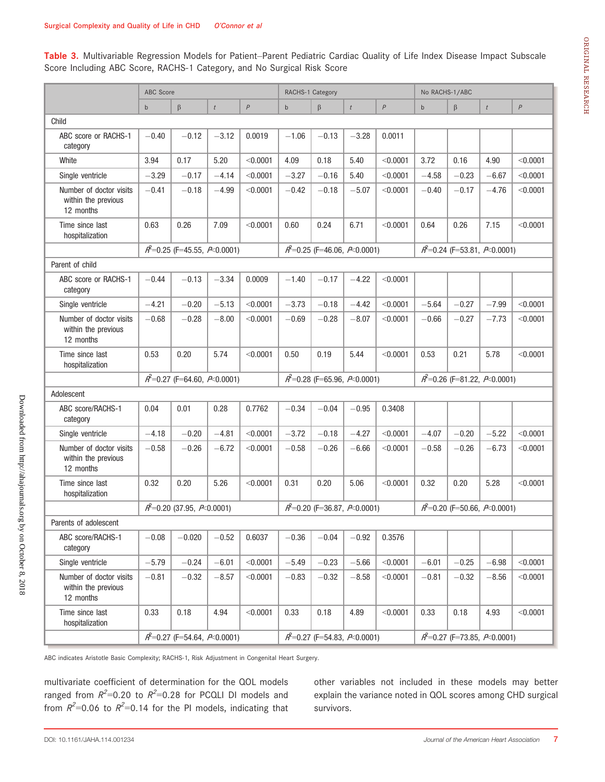Table 3. Multivariable Regression Models for Patient–Parent Pediatric Cardiac Quality of Life Index Disease Impact Subscale Score Including ABC Score, RACHS-1 Category, and No Surgical Risk Score

|                                                             |                                                      |                                                      |                  |          |              | RACHS-1 Category |                                                      |          |                                  |                                                        |         |                  |  |
|-------------------------------------------------------------|------------------------------------------------------|------------------------------------------------------|------------------|----------|--------------|------------------|------------------------------------------------------|----------|----------------------------------|--------------------------------------------------------|---------|------------------|--|
|                                                             | ABC Score                                            |                                                      |                  |          |              |                  |                                                      |          | No RACHS-1/ABC                   |                                                        |         |                  |  |
|                                                             | $\mathsf{b}$                                         | $\beta$                                              | $\boldsymbol{t}$ | P        | $\mathsf{b}$ | $\beta$          | $\boldsymbol{t}$                                     | P        | $\mathsf{b}$                     | $\beta$                                                | t       | $\boldsymbol{P}$ |  |
| Child                                                       |                                                      |                                                      |                  |          |              |                  |                                                      |          |                                  |                                                        |         |                  |  |
| ABC score or RACHS-1<br>category                            | $-0.40$                                              | $-0.12$                                              | $-3.12$          | 0.0019   | $-1.06$      | $-0.13$          | $-3.28$                                              | 0.0011   |                                  |                                                        |         |                  |  |
| White                                                       | 3.94                                                 | 0.17                                                 | 5.20             | < 0.0001 | 4.09         | 0.18             | 5.40                                                 | < 0.0001 | 3.72                             | 0.16                                                   | 4.90    | < 0.0001         |  |
| Single ventricle                                            | $-3.29$                                              | $-0.17$                                              | $-4.14$          | < 0.0001 | $-3.27$      | $-0.16$          | 5.40                                                 | < 0.0001 | $-4.58$                          | $-0.23$                                                | $-6.67$ | < 0.0001         |  |
| Number of doctor visits<br>within the previous<br>12 months | $-0.41$                                              | $-0.18$                                              | $-4.99$          | < 0.0001 | $-0.42$      | $-0.18$          | $-5.07$                                              | < 0.0001 | $-0.40$                          | $-0.17$                                                | $-4.76$ | < 0.0001         |  |
| Time since last<br>hospitalization                          | 0.63                                                 | 0.26                                                 | 7.09             | < 0.0001 | 0.60         | 0.24             | 6.71                                                 | < 0.0001 | 0.64                             | 0.26                                                   | 7.15    | < 0.0001         |  |
|                                                             |                                                      | $A^2=0.25$ (F=45.55, A < 0.0001)                     |                  |          |              |                  | $R^2$ =0.25 (F=46.06, $R$ <0.0001)                   |          |                                  | $\mathcal{A}^2$ =0.24 (F=53.81, $\mathcal{P}$ <0.0001) |         |                  |  |
| Parent of child                                             |                                                      |                                                      |                  |          |              |                  |                                                      |          |                                  |                                                        |         |                  |  |
| ABC score or RACHS-1<br>category                            | $-0.44$                                              | $-0.13$                                              | $-3.34$          | 0.0009   | $-1.40$      | $-0.17$          | $-4.22$                                              | < 0.0001 |                                  |                                                        |         |                  |  |
| Single ventricle                                            | $-4.21$                                              | $-0.20$                                              | $-5.13$          | < 0.0001 | $-3.73$      | $-0.18$          | $-4.42$                                              | < 0.0001 | $-5.64$                          | $-0.27$                                                | $-7.99$ | < 0.0001         |  |
| Number of doctor visits<br>within the previous<br>12 months | $-0.68$                                              | $-0.28$                                              | $-8.00$          | < 0.0001 | $-0.69$      | $-0.28$          | $-8.07$                                              | < 0.0001 | $-0.66$                          | $-0.27$                                                | $-7.73$ | < 0.0001         |  |
| Time since last<br>hospitalization                          | 0.53                                                 | 0.20                                                 | 5.74             | < 0.0001 | 0.50         | 0.19             | 5.44                                                 | < 0.0001 | 0.53                             | 0.21                                                   | 5.78    | < 0.0001         |  |
|                                                             | $\mathit{R}^2$ =0.27 (F=64.60, $\mathit{R}$ -0.0001) |                                                      |                  |          |              |                  | $R^2$ =0.28 (F=65.96, $R$ <0.0001)                   |          |                                  | $\mathcal{A}^2$ =0.26 (F=81.22, $\mathcal{P}$ <0.0001) |         |                  |  |
| Adolescent                                                  |                                                      |                                                      |                  |          |              |                  |                                                      |          |                                  |                                                        |         |                  |  |
| ABC score/RACHS-1<br>category                               | 0.04                                                 | 0.01                                                 | 0.28             | 0.7762   | $-0.34$      | $-0.04$          | $-0.95$                                              | 0.3408   |                                  |                                                        |         |                  |  |
| Single ventricle                                            | $-4.18$                                              | $-0.20$                                              | $-4.81$          | < 0.0001 | $-3.72$      | $-0.18$          | $-4.27$                                              | < 0.0001 | $-4.07$                          | $-0.20$                                                | $-5.22$ | < 0.0001         |  |
| Number of doctor visits<br>within the previous<br>12 months | $-0.58$                                              | $-0.26$                                              | $-6.72$          | < 0.0001 | $-0.58$      | $-0.26$          | $-6.66$                                              | < 0.0001 | $-0.58$                          | $-0.26$                                                | $-6.73$ | < 0.0001         |  |
| Time since last<br>hospitalization                          | 0.32                                                 | 0.20                                                 | 5.26             | < 0.0001 | 0.31         | 0.20             | 5.06                                                 | < 0.0001 | 0.32                             | 0.20                                                   | 5.28    | < 0.0001         |  |
|                                                             |                                                      | $\mathcal{A}^2$ =0.20 (37.95, $\mathcal{P}$ <0.0001) |                  |          |              |                  | $\mathit{R}^2$ =0.20 (F=36.87, $\mathit{P}$ <0.0001) |          | $A^2=0.20$ (F=50.66, A < 0.0001) |                                                        |         |                  |  |
| Parents of adolescent                                       |                                                      |                                                      |                  |          |              |                  |                                                      |          |                                  |                                                        |         |                  |  |
| ABC score/RACHS-1<br>category                               | $-0.08$                                              | $-0.020$                                             | $-0.52$          | 0.6037   | $-0.36$      | $-0.04$          | $-0.92$                                              | 0.3576   |                                  |                                                        |         |                  |  |
| Single ventricle                                            | $-5.79$                                              | $-0.24$                                              | $-6.01$          | < 0.0001 | $-5.49$      | $-0.23$          | $-5.66$                                              | < 0.0001 | $-6.01$                          | $-0.25$                                                | $-6.98$ | < 0.0001         |  |
| Number of doctor visits<br>within the previous<br>12 months | $-0.81$                                              | $-0.32$                                              | $-8.57$          | < 0.0001 | $-0.83$      | $-0.32$          | $-8.58$                                              | < 0.0001 | $-0.81$                          | $-0.32$                                                | $-8.56$ | < 0.0001         |  |
| Time since last<br>hospitalization                          | 0.33                                                 | 0.18                                                 | 4.94             | < 0.0001 | 0.33         | 0.18             | 4.89                                                 | < 0.0001 | 0.33                             | 0.18                                                   | 4.93    | < 0.0001         |  |
|                                                             |                                                      | $A^2=0.27$ (F=54.64, $A \le 0.0001$ )                |                  |          |              |                  | $A^2=0.27$ (F=54.83, A < 0.0001)                     |          | $A^2=0.27$ (F=73.85, A < 0.0001) |                                                        |         |                  |  |

ABC indicates Aristotle Basic Complexity; RACHS-1, Risk Adjustment in Congenital Heart Surgery.

multivariate coefficient of determination for the QOL models ranged from  $R^2$ =0.20 to  $R^2$ =0.28 for PCQLI DI models and from  $R^2$ =0.06 to  $R^2$ =0.14 for the PI models, indicating that

other variables not included in these models may better explain the variance noted in QOL scores among CHD surgical survivors.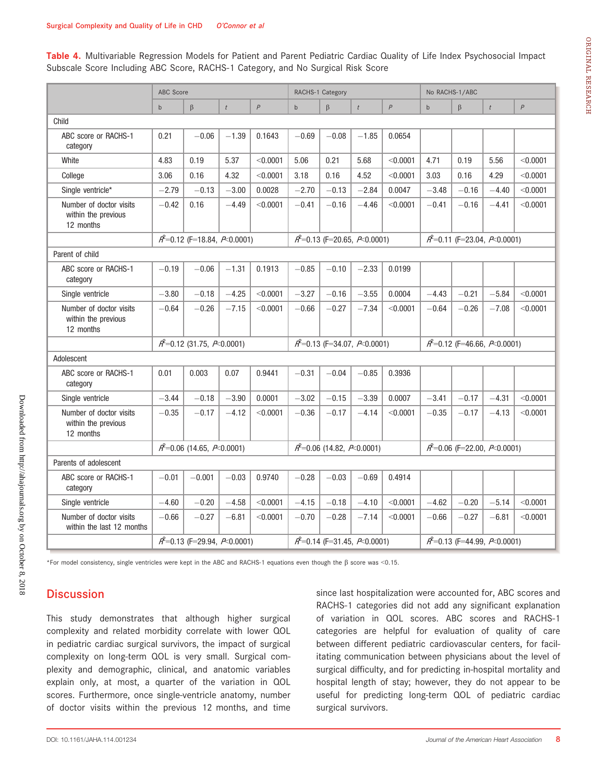Table 4. Multivariable Regression Models for Patient and Parent Pediatric Cardiac Quality of Life Index Psychosocial Impact Subscale Score Including ABC Score, RACHS-1 Category, and No Surgical Risk Score

|                                                             | ABC Score                        |                                                       |                  |                |              | RACHS-1 Category                                       |                  |                  | No RACHS-1/ABC                        |                                       |                  |          |
|-------------------------------------------------------------|----------------------------------|-------------------------------------------------------|------------------|----------------|--------------|--------------------------------------------------------|------------------|------------------|---------------------------------------|---------------------------------------|------------------|----------|
|                                                             | $\mathbf b$                      | $\beta$                                               | $\boldsymbol{t}$ | $\overline{P}$ | $\mathsf{b}$ | $\beta$                                                | $\boldsymbol{t}$ | $\boldsymbol{P}$ | $\mathsf{b}$                          | $\beta$                               | $\boldsymbol{t}$ | P        |
| Child                                                       |                                  |                                                       |                  |                |              |                                                        |                  |                  |                                       |                                       |                  |          |
| ABC score or RACHS-1<br>category                            | 0.21                             | $-0.06$                                               | $-1.39$          | 0.1643         | $-0.69$      | $-0.08$                                                | $-1.85$          | 0.0654           |                                       |                                       |                  |          |
| White                                                       | 4.83                             | 0.19                                                  | 5.37             | < 0.0001       | 5.06         | 0.21                                                   | 5.68             | < 0.0001         | 4.71                                  | 0.19                                  | 5.56             | < 0.0001 |
| College                                                     | 3.06                             | 0.16                                                  | 4.32             | < 0.0001       | 3.18         | 0.16                                                   | 4.52             | < 0.0001         | 3.03                                  | 0.16                                  | 4.29             | < 0.0001 |
| Single ventricle*                                           | $-2.79$                          | $-0.13$                                               | $-3.00$          | 0.0028         | $-2.70$      | $-0.13$                                                | $-2.84$          | 0.0047           | $-3.48$                               | $-0.16$                               | $-4.40$          | < 0.0001 |
| Number of doctor visits<br>within the previous<br>12 months | $-0.42$                          | 0.16                                                  | $-4.49$          | < 0.0001       | $-0.41$      | $-0.16$                                                | $-4.46$          | < 0.0001         | $-0.41$                               | $-0.16$                               | $-4.41$          | < 0.0001 |
|                                                             |                                  | $\mathcal{A}^2$ =0.12 (F=18.84, $\mathcal{A}$ 0.0001) |                  |                |              | $A^2=0.13$ (F=20.65, A < 0.0001)                       |                  |                  |                                       | $A^2=0.11$ (F=23.04, $A \le 0.0001$ ) |                  |          |
| Parent of child                                             |                                  |                                                       |                  |                |              |                                                        |                  |                  |                                       |                                       |                  |          |
| ABC score or RACHS-1<br>category                            | $-0.19$                          | $-0.06$                                               | $-1.31$          | 0.1913         | $-0.85$      | $-0.10$                                                | $-2.33$          | 0.0199           |                                       |                                       |                  |          |
| Single ventricle                                            | $-3.80$                          | $-0.18$                                               | $-4.25$          | < 0.0001       | $-3.27$      | $-0.16$                                                | $-3.55$          | 0.0004           | $-4.43$                               | $-0.21$                               | $-5.84$          | < 0.0001 |
| Number of doctor visits<br>within the previous<br>12 months | $-0.64$                          | $-0.26$                                               | $-7.15$          | < 0.0001       | $-0.66$      | $-0.27$                                                | $-7.34$          | < 0.0001         | $-0.64$                               | $-0.26$                               | $-7.08$          | < 0.0001 |
|                                                             | $A^2$ =0.12 (31.75, $A$ <0.0001) |                                                       |                  |                |              | $R^2$ =0.13 (F=34.07, $R$ <0.0001)                     |                  |                  | $A^2=0.12$ (F=46.66, A < 0.0001)      |                                       |                  |          |
| Adolescent                                                  |                                  |                                                       |                  |                |              |                                                        |                  |                  |                                       |                                       |                  |          |
| ABC score or RACHS-1<br>category                            | 0.01                             | 0.003                                                 | 0.07             | 0.9441         | $-0.31$      | $-0.04$                                                | $-0.85$          | 0.3936           |                                       |                                       |                  |          |
| Single ventricle                                            | $-3.44$                          | $-0.18$                                               | $-3.90$          | 0.0001         | $-3.02$      | $-0.15$                                                | $-3.39$          | 0.0007           | $-3.41$                               | $-0.17$                               | $-4.31$          | < 0.0001 |
| Number of doctor visits<br>within the previous<br>12 months | $-0.35$                          | $-0.17$                                               | $-4.12$          | < 0.0001       | $-0.36$      | $-0.17$                                                | $-4.14$          | < 0.0001         | $-0.35$                               | $-0.17$                               | $-4.13$          | < 0.0001 |
|                                                             |                                  | $A^2=0.06$ (14.65, $A \le 0.0001$ )                   |                  |                |              | $\mathcal{A}^2$ =0.06 (14.82, $\mathcal{P}$ <0.0001)   |                  |                  | $A^2=0.06$ (F=22.00, $A \le 0.0001$ ) |                                       |                  |          |
| Parents of adolescent                                       |                                  |                                                       |                  |                |              |                                                        |                  |                  |                                       |                                       |                  |          |
| ABC score or RACHS-1<br>category                            | $-0.01$                          | $-0.001$                                              | $-0.03$          | 0.9740         | $-0.28$      | $-0.03$                                                | $-0.69$          | 0.4914           |                                       |                                       |                  |          |
| Single ventricle                                            | $-4.60$                          | $-0.20$                                               | $-4.58$          | < 0.0001       | $-4.15$      | $-0.18$                                                | $-4.10$          | < 0.0001         | $-4.62$                               | $-0.20$                               | $-5.14$          | < 0.0001 |
| Number of doctor visits<br>within the last 12 months        | $-0.66$                          | $-0.27$                                               | $-6.81$          | < 0.0001       | $-0.70$      | $-0.28$                                                | $-7.14$          | < 0.0001         | $-0.66$                               | $-0.27$                               | $-6.81$          | < 0.0001 |
|                                                             |                                  | $A^2=0.13$ (F=29.94, A < 0.0001)                      |                  |                |              | $\mathcal{A}^2$ =0.14 (F=31.45, $\mathcal{P}$ <0.0001) |                  |                  | $A^2=0.13$ (F=44.99, $A \le 0.0001$ ) |                                       |                  |          |

\*For model consistency, single ventricles were kept in the ABC and RACHS-1 equations even though the  $\beta$  score was <0.15.

# **Discussion**

This study demonstrates that although higher surgical complexity and related morbidity correlate with lower QOL in pediatric cardiac surgical survivors, the impact of surgical complexity on long-term QOL is very small. Surgical complexity and demographic, clinical, and anatomic variables explain only, at most, a quarter of the variation in QOL scores. Furthermore, once single-ventricle anatomy, number of doctor visits within the previous 12 months, and time since last hospitalization were accounted for, ABC scores and RACHS-1 categories did not add any significant explanation of variation in QOL scores. ABC scores and RACHS-1 categories are helpful for evaluation of quality of care between different pediatric cardiovascular centers, for facilitating communication between physicians about the level of surgical difficulty, and for predicting in-hospital mortality and hospital length of stay; however, they do not appear to be useful for predicting long-term QOL of pediatric cardiac surgical survivors.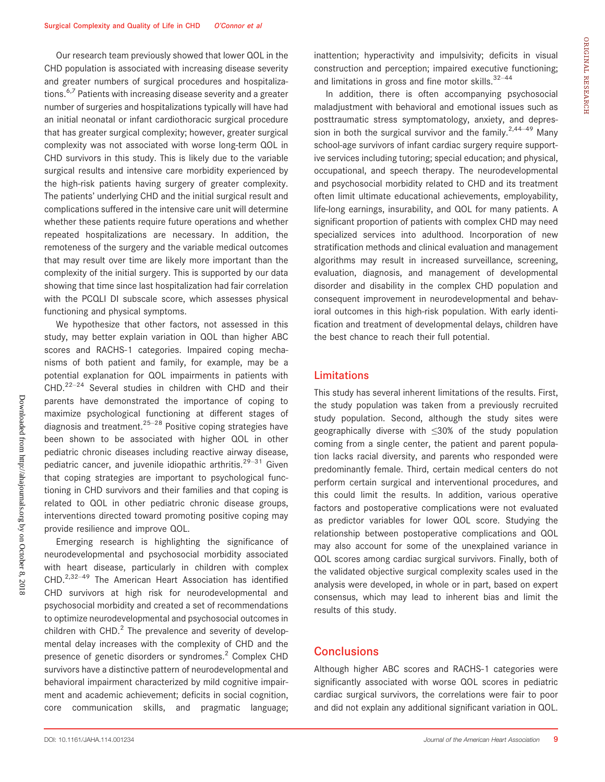Our research team previously showed that lower QOL in the CHD population is associated with increasing disease severity and greater numbers of surgical procedures and hospitalizations.<sup>6,7</sup> Patients with increasing disease severity and a greater number of surgeries and hospitalizations typically will have had an initial neonatal or infant cardiothoracic surgical procedure that has greater surgical complexity; however, greater surgical complexity was not associated with worse long-term QOL in CHD survivors in this study. This is likely due to the variable surgical results and intensive care morbidity experienced by the high-risk patients having surgery of greater complexity. The patients' underlying CHD and the initial surgical result and complications suffered in the intensive care unit will determine whether these patients require future operations and whether repeated hospitalizations are necessary. In addition, the remoteness of the surgery and the variable medical outcomes that may result over time are likely more important than the complexity of the initial surgery. This is supported by our data showing that time since last hospitalization had fair correlation with the PCQLI DI subscale score, which assesses physical functioning and physical symptoms.

We hypothesize that other factors, not assessed in this study, may better explain variation in QOL than higher ABC scores and RACHS-1 categories. Impaired coping mechanisms of both patient and family, for example, may be a potential explanation for QOL impairments in patients with  $CHD.<sup>22–24</sup>$  Several studies in children with CHD and their parents have demonstrated the importance of coping to maximize psychological functioning at different stages of diagnosis and treatment. $25-28$  Positive coping strategies have been shown to be associated with higher QOL in other pediatric chronic diseases including reactive airway disease, pediatric cancer, and juvenile idiopathic arthritis.<sup>29–31</sup> Given that coping strategies are important to psychological functioning in CHD survivors and their families and that coping is related to QOL in other pediatric chronic disease groups, interventions directed toward promoting positive coping may provide resilience and improve QOL.

Emerging research is highlighting the significance of neurodevelopmental and psychosocial morbidity associated with heart disease, particularly in children with complex  $CHD.<sup>2,32-49</sup>$  The American Heart Association has identified CHD survivors at high risk for neurodevelopmental and psychosocial morbidity and created a set of recommendations to optimize neurodevelopmental and psychosocial outcomes in children with CHD. $^2$  The prevalence and severity of developmental delay increases with the complexity of CHD and the presence of genetic disorders or syndromes.<sup>2</sup> Complex CHD survivors have a distinctive pattern of neurodevelopmental and behavioral impairment characterized by mild cognitive impairment and academic achievement; deficits in social cognition, core communication skills, and pragmatic language; inattention; hyperactivity and impulsivity; deficits in visual construction and perception; impaired executive functioning; and limitations in gross and fine motor skills. $32-44$ 

In addition, there is often accompanying psychosocial maladjustment with behavioral and emotional issues such as posttraumatic stress symptomatology, anxiety, and depression in both the surgical survivor and the family.<sup>2,44–49</sup> Many school-age survivors of infant cardiac surgery require supportive services including tutoring; special education; and physical, occupational, and speech therapy. The neurodevelopmental and psychosocial morbidity related to CHD and its treatment often limit ultimate educational achievements, employability, life-long earnings, insurability, and QOL for many patients. A significant proportion of patients with complex CHD may need specialized services into adulthood. Incorporation of new stratification methods and clinical evaluation and management algorithms may result in increased surveillance, screening, evaluation, diagnosis, and management of developmental disorder and disability in the complex CHD population and consequent improvement in neurodevelopmental and behavioral outcomes in this high-risk population. With early identification and treatment of developmental delays, children have the best chance to reach their full potential.

#### Limitations

This study has several inherent limitations of the results. First, the study population was taken from a previously recruited study population. Second, although the study sites were geographically diverse with ≤30% of the study population coming from a single center, the patient and parent population lacks racial diversity, and parents who responded were predominantly female. Third, certain medical centers do not perform certain surgical and interventional procedures, and this could limit the results. In addition, various operative factors and postoperative complications were not evaluated as predictor variables for lower QOL score. Studying the relationship between postoperative complications and QOL may also account for some of the unexplained variance in QOL scores among cardiac surgical survivors. Finally, both of the validated objective surgical complexity scales used in the analysis were developed, in whole or in part, based on expert consensus, which may lead to inherent bias and limit the results of this study.

# **Conclusions**

Although higher ABC scores and RACHS-1 categories were significantly associated with worse QOL scores in pediatric cardiac surgical survivors, the correlations were fair to poor and did not explain any additional significant variation in QOL.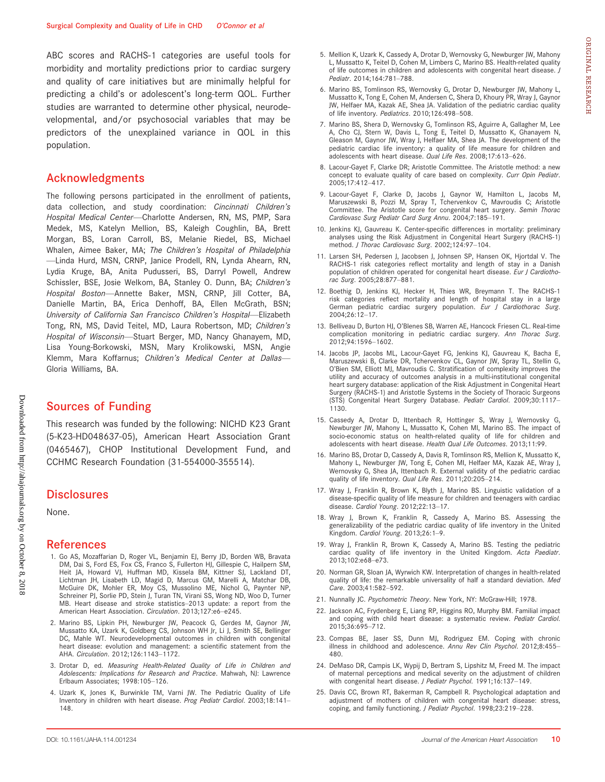ABC scores and RACHS-1 categories are useful tools for morbidity and mortality predictions prior to cardiac surgery and quality of care initiatives but are minimally helpful for predicting a child's or adolescent's long-term QOL. Further studies are warranted to determine other physical, neurodevelopmental, and/or psychosocial variables that may be predictors of the unexplained variance in QOL in this population.

## Acknowledgments

The following persons participated in the enrollment of patients, data collection, and study coordination: Cincinnati Children's Hospital Medical Center—Charlotte Andersen, RN, MS, PMP, Sara Medek, MS, Katelyn Mellion, BS, Kaleigh Coughlin, BA, Brett Morgan, BS, Loran Carroll, BS, Melanie Riedel, BS, Michael Whalen, Aimee Baker, MA; The Children's Hospital of Philadelphia —Linda Hurd, MSN, CRNP, Janice Prodell, RN, Lynda Ahearn, RN, Lydia Kruge, BA, Anita Pudusseri, BS, Darryl Powell, Andrew Schissler, BSE, Josie Welkom, BA, Stanley O. Dunn, BA; Children's Hospital Boston—Annette Baker, MSN, CRNP, Jill Cotter, BA, Danielle Martin, BA, Erica Denhoff, BA, Ellen McGrath, BSN; University of California San Francisco Children's Hospital—Elizabeth Tong, RN, MS, David Teitel, MD, Laura Robertson, MD; Children's Hospital of Wisconsin—Stuart Berger, MD, Nancy Ghanayem, MD, Lisa Young-Borkowski, MSN, Mary Krolikowski, MSN, Angie Klemm, Mara Koffarnus; Children's Medical Center at Dallas— Gloria Williams, BA.

## Sources of Funding

This research was funded by the following: NICHD K23 Grant (5-K23-HD048637-05), American Heart Association Grant (0465467), CHOP Institutional Development Fund, and CCHMC Research Foundation (31-554000-355514).

#### **Disclosures**

None.

#### References

- 1. Go AS, Mozaffarian D, Roger VL, Benjamin EJ, Berry JD, Borden WB, Bravata DM, Dai S, Ford ES, Fox CS, Franco S, Fullerton HJ, Gillespie C, Hailpern SM, Heit JA, Howard VJ, Huffman MD, Kissela BM, Kittner SJ, Lackland DT, Lichtman JH, Lisabeth LD, Magid D, Marcus GM, Marelli A, Matchar DB, McGuire DK, Mohler ER, Moy CS, Mussolino ME, Nichol G, Paynter NP, Schreiner PJ, Sorlie PD, Stein J, Turan TN, Virani SS, Wong ND, Woo D, Turner MB. Heart disease and stroke statistics–2013 update: a report from the American Heart Association. Circulation. 2013;127:e6–e245.
- 2. Marino BS, Lipkin PH, Newburger JW, Peacock G, Gerdes M, Gaynor JW, Mussatto KA, Uzark K, Goldberg CS, Johnson WH Jr, Li J, Smith SE, Bellinger DC, Mahle WT. Neurodevelopmental outcomes in children with congenital heart disease: evolution and management: a scientific statement from the AHA. Circulation. 2012;126:1143–1172.
- 3. Drotar D, ed. Measuring Health-Related Quality of Life in Children and Adolescents: Implications for Research and Practice. Mahwah, NJ: Lawrence Erlbaum Associates; 1998:105–126.
- 4. Uzark K, Jones K, Burwinkle TM, Varni JW. The Pediatric Quality of Life Inventory in children with heart disease. Prog Pediatr Cardiol. 2003;18:141– 148.
- 5. Mellion K, Uzark K, Cassedy A, Drotar D, Wernovsky G, Newburger JW, Mahony L, Mussatto K, Teitel D, Cohen M, Limbers C, Marino BS. Health-related quality of life outcomes in children and adolescents with congenital heart disease. J Pediatr. 2014;164:781–788.
- 6. Marino BS, Tomlinson RS, Wernovsky G, Drotar D, Newburger JW, Mahony L, Mussatto K, Tong E, Cohen M, Andersen C, Shera D, Khoury PR, Wray J, Gaynor JW, Helfaer MA, Kazak AE, Shea JA. Validation of the pediatric cardiac quality of life inventory. Pediatrics. 2010;126:498–508.
- 7. Marino BS, Shera D, Wernovsky G, Tomlinson RS, Aguirre A, Gallagher M, Lee A, Cho CJ, Stern W, Davis L, Tong E, Teitel D, Mussatto K, Ghanayem N, Gleason M, Gaynor JW, Wray J, Helfaer MA, Shea JA. The development of the pediatric cardiac life inventory: a quality of life measure for children and adolescents with heart disease. Qual Life Res. 2008;17:613-626.
- 8. Lacour-Gayet F, Clarke DR; Aristotle Committee. The Aristotle method: a new concept to evaluate quality of care based on complexity. Curr Opin Pediatr. 2005;17:412–417.
- 9. Lacour-Gayet F, Clarke D, Jacobs J, Gaynor W, Hamilton L, Jacobs M, Maruszewski B, Pozzi M, Spray T, Tchervenkov C, Mavroudis C; Aristotle Committee. The Aristotle score for congenital heart surgery. Semin Thorac Cardiovasc Surg Pediatr Card Surg Annu. 2004;7:185–191.
- 10. Jenkins KJ, Gauvreau K. Center-specific differences in mortality: preliminary analyses using the Risk Adjustment in Congenital Heart Surgery (RACHS-1) method. J Thorac Cardiovasc Surg. 2002;124:97–104.
- 11. Larsen SH, Pedersen J, Jacobsen J, Johnsen SP, Hansen OK, Hjortdal V. The RACHS-1 risk categories reflect mortality and length of stay in a Danish population of children operated for congenital heart disease. Eur J Cardiothorac Surg. 2005;28:877–881.
- 12. Boethig D, Jenkins KJ, Hecker H, Thies WR, Breymann T. The RACHS-1 risk categories reflect mortality and length of hospital stay in a large German pediatric cardiac surgery population. Eur J Cardiothorac Surg. 2004;26:12–17.
- 13. Belliveau D, Burton HJ, O'Blenes SB, Warren AE, Hancock Friesen CL. Real-time complication monitoring in pediatric cardiac surgery. Ann Thorac Surg. 2012;94:1596–1602.
- 14. Jacobs JP, Jacobs ML, Lacour-Gayet FG, Jenkins KJ, Gauvreau K, Bacha E, Maruszewski B, Clarke DR, Tchervenkov CL, Gaynor JW, Spray TL, Stellin G, O'Bien SM, Elliott MJ, Mavroudis C. Stratification of complexity improves the utility and accuracy of outcomes analysis in a multi-institutional congenital heart surgery database: application of the Risk Adjustment in Congenital Heart Surgery (RACHS-1) and Aristotle Systems in the Society of Thoracic Surgeons (STS) Congenital Heart Surgery Database. Pediatr Cardiol. 2009;30:1117– 1130.
- 15. Cassedy A, Drotar D, Ittenbach R, Hottinger S, Wray J, Wernovsky G, Newburger JW, Mahony L, Mussatto K, Cohen MI, Marino BS. The impact of socio-economic status on health-related quality of life for children and adolescents with heart disease. Health Qual Life Outcomes. 2013;11:99.
- 16. Marino BS, Drotar D, Cassedy A, Davis R, Tomlinson RS, Mellion K, Mussatto K, Mahony L, Newburger JW, Tong E, Cohen MI, Helfaer MA, Kazak AE, Wray J, Wernovsky G, Shea JA, Ittenbach R. External validity of the pediatric cardiac quality of life inventory. Qual Life Res. 2011;20:205–214.
- 17. Wray J, Franklin R, Brown K, Blyth J, Marino BS. Linguistic validation of a disease-specific quality of life measure for children and teenagers with cardiac disease. Cardiol Young. 2012;22:13–17.
- 18. Wray J, Brown K, Franklin R, Cassedy A, Marino BS. Assessing the generalizability of the pediatric cardiac quality of life inventory in the United Kingdom. Cardiol Young. 2013;26:1–9.
- 19. Wray J, Franklin R, Brown K, Cassedy A, Marino BS. Testing the pediatric cardiac quality of life inventory in the United Kingdom. Acta Paediatr. 2013;102:e68–e73.
- 20. Norman GR, Sloan JA, Wyrwich KW. Interpretation of changes in health-related quality of life: the remarkable universality of half a standard deviation. Med Care. 2003;41:582–592.
- 21. Nunnally JC. Psychometric Theory. New York, NY: McGraw-Hill; 1978.
- 22. Jackson AC, Frydenberg E, Liang RP, Higgins RO, Murphy BM. Familial impact and coping with child heart disease: a systematic review. Pediatr Cardiol. 2015;36:695–712.
- 23. Compas BE, Jaser SS, Dunn MJ, Rodriguez EM. Coping with chronic illness in childhood and adolescence. Annu Rev Clin Psychol. 2012;8:455-480.
- 24. DeMaso DR, Campis LK, Wypij D, Bertram S, Lipshitz M, Freed M. The impact of maternal perceptions and medical severity on the adjustment of children with congenital heart disease. J Pediatr Psychol. 1991;16:137-149.
- 25. Davis CC, Brown RT, Bakerman R, Campbell R. Psychological adaptation and adjustment of mothers of children with congenital heart disease: stress, coping, and family functioning. J Pediatr Psychol. 1998;23:219–228.